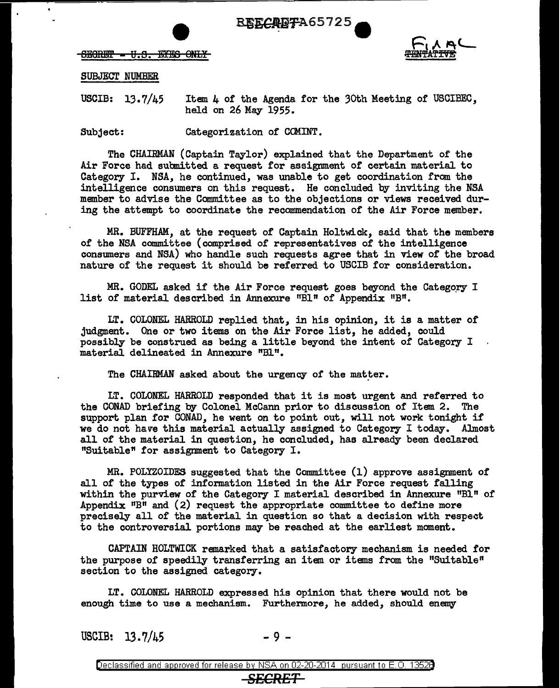





SUBJECT NUMBER

USCIB: 13.7/45 Item  $\mu$  of the Agenda for the 30th Meeting of USCIBEC. held on 26 May 1955.

Subject: Categorization of COMINT.

The CHAIRMAN (Captain Taylor) explained that the Department or the Air Force had submitted a request for assignment of certain material to Category I. NSA, he continued, was unable to get coordination from the intelligence consumers on this request. He concluded by inviting the NSA member to advise the Committee as to the objections or views received during the attempt to coordinate the recommendation of the Air Force member.

MR. BUFFHAM, at the request of Captain Holtwick, said that the members of the NSA committee (comprised of representatives of the intelligence consumers and NSA) who handle such requests agree that in view of the broad nature of the request it should be ref erred to USCIB for consideration.

MR. GODEL asked if the Air Force request goes beyond the Category  $I$ list of material described in Annexure "Bl" of Appendix "B".

LT. COLONEL HARROLD replied that, in his opinion, it is a matter of judgment. One or two items on the Air Force list, he added, could possibly be construed as being a little beyond the intent of Category I material delineated in Annexure "Bl".

The CHAIRMAN asked about the urgency of the matter.

LT. COLONEL HARROLD responded that it is most urgent and referred to the GONAD briefing by Colonel Mccann prior to discussion of Item 2. The support plan for GONAD, he went on to point out, will not work tonight if' we do not have this material actually assigned to Category I today. Almost all of the material in question, he concluded, has already been declared "Suitable~ for assignment to Category I.

MR. POLYZOIDES suggested that the Committee (1) approve assignment of all of the types of information listed in the Air Force request falling within the purview of the Category I material described in Annexure "Bl" of Appendix  $H\text{BH}$  and (2) request the appropriate committee to define more precisely all of the material in question so that a decision with respect to the controversial portions may be reached at the earliest moment.

CAPTAIN HOLTWICK remarked that a satisfactory mechanism is needed for the purpose of speedily transferring an item or items from the "Suitable" section to the assigned category.

LT. COLONEL HARROLD expressed his opinion that there would not be enough time to use a mechanism. Furthermore, he added, should enemy

USCIB:  $13.7/45$  - 9 -